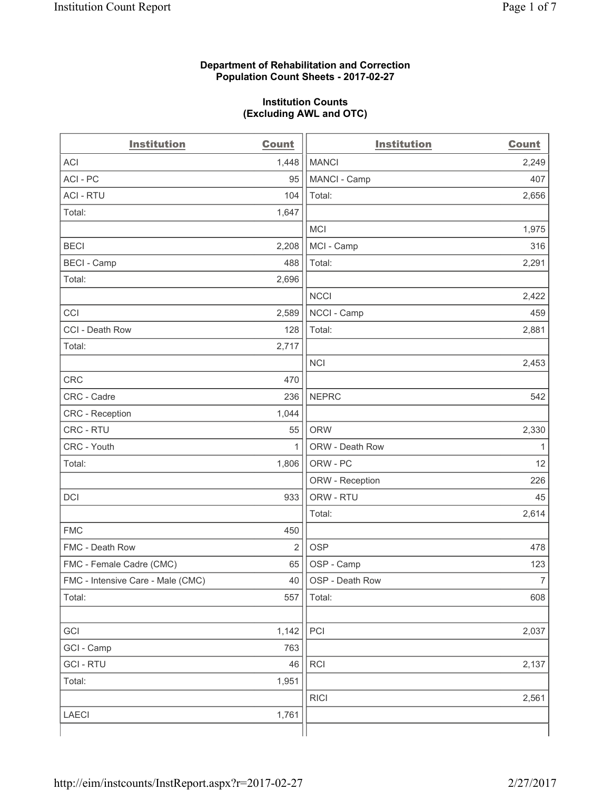#### **Department of Rehabilitation and Correction Population Count Sheets - 2017-02-27**

#### **Institution Counts (Excluding AWL and OTC)**

| <b>Institution</b>                | <b>Count</b>   | <b>Institution</b> | <b>Count</b>   |
|-----------------------------------|----------------|--------------------|----------------|
| <b>ACI</b>                        | 1,448          | <b>MANCI</b>       | 2,249          |
| ACI-PC                            | 95             | MANCI - Camp       | 407            |
| <b>ACI - RTU</b>                  | 104            | Total:             | 2,656          |
| Total:                            | 1,647          |                    |                |
|                                   |                | <b>MCI</b>         | 1,975          |
| <b>BECI</b>                       | 2,208          | MCI - Camp         | 316            |
| <b>BECI</b> - Camp                | 488            | Total:             | 2,291          |
| Total:                            | 2,696          |                    |                |
|                                   |                | <b>NCCI</b>        | 2,422          |
| CCI                               | 2,589          | NCCI - Camp        | 459            |
| CCI - Death Row                   | 128            | Total:             | 2,881          |
| Total:                            | 2,717          |                    |                |
|                                   |                | <b>NCI</b>         | 2,453          |
| <b>CRC</b>                        | 470            |                    |                |
| CRC - Cadre                       | 236            | <b>NEPRC</b>       | 542            |
| CRC - Reception                   | 1,044          |                    |                |
| CRC - RTU                         | 55             | <b>ORW</b>         | 2,330          |
| CRC - Youth                       | 1              | ORW - Death Row    | 1              |
| Total:                            | 1,806          | ORW - PC           | 12             |
|                                   |                | ORW - Reception    | 226            |
| DCI                               | 933            | ORW - RTU          | 45             |
|                                   |                | Total:             | 2,614          |
| <b>FMC</b>                        | 450            |                    |                |
| FMC - Death Row                   | $\overline{2}$ | <b>OSP</b>         | 478            |
| FMC - Female Cadre (CMC)          | 65             | OSP - Camp         | 123            |
| FMC - Intensive Care - Male (CMC) | 40             | OSP - Death Row    | $\overline{7}$ |
| Total:                            | 557            | Total:             | 608            |
|                                   |                |                    |                |
| GCI                               | 1,142          | PCI                | 2,037          |
| GCI - Camp                        | 763            |                    |                |
| <b>GCI-RTU</b>                    | 46             | RCI                | 2,137          |
| Total:                            | 1,951          |                    |                |
|                                   |                | <b>RICI</b>        | 2,561          |
| <b>LAECI</b>                      | 1,761          |                    |                |
|                                   |                |                    |                |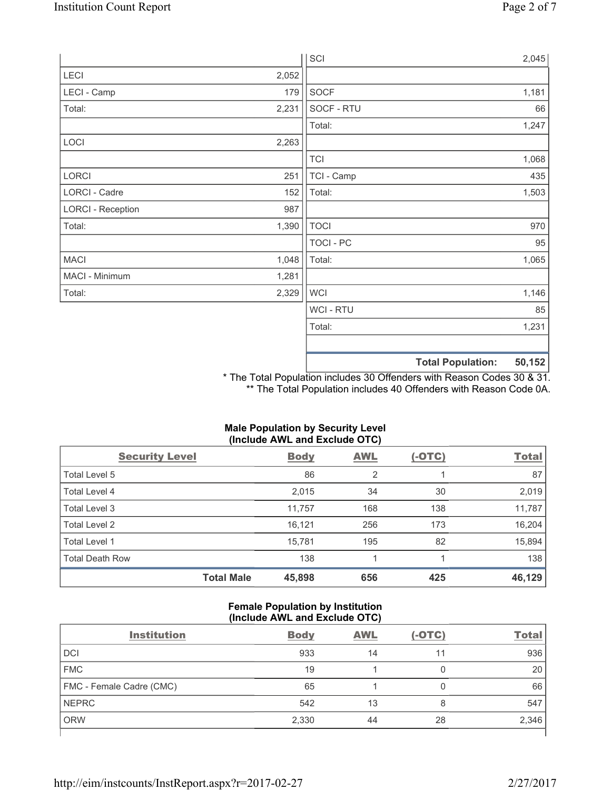|                          |       | SCI              |                          | 2,045  |
|--------------------------|-------|------------------|--------------------------|--------|
| LECI                     | 2,052 |                  |                          |        |
| LECI - Camp              | 179   | SOCF             |                          | 1,181  |
| Total:                   | 2,231 | SOCF - RTU       |                          | 66     |
|                          |       | Total:           |                          | 1,247  |
| LOCI                     | 2,263 |                  |                          |        |
|                          |       | <b>TCI</b>       |                          | 1,068  |
| LORCI                    | 251   | TCI - Camp       |                          | 435    |
| LORCI - Cadre            | 152   | Total:           |                          | 1,503  |
| <b>LORCI - Reception</b> | 987   |                  |                          |        |
| Total:                   | 1,390 | <b>TOCI</b>      |                          | 970    |
|                          |       | <b>TOCI - PC</b> |                          | 95     |
| <b>MACI</b>              | 1,048 | Total:           |                          | 1,065  |
| MACI - Minimum           | 1,281 |                  |                          |        |
| Total:                   | 2,329 | <b>WCI</b>       |                          | 1,146  |
|                          |       | <b>WCI-RTU</b>   |                          | 85     |
|                          |       | Total:           |                          | 1,231  |
|                          |       |                  |                          |        |
|                          |       |                  | <b>Total Population:</b> | 50,152 |

\* The Total Population includes 30 Offenders with Reason Codes 30 & 31. \*\* The Total Population includes 40 Offenders with Reason Code 0A.

| (Include AWL and Exclude OTC) |                   |             |            |               |              |  |
|-------------------------------|-------------------|-------------|------------|---------------|--------------|--|
| <b>Security Level</b>         |                   | <b>Body</b> | <b>AWL</b> | <u>(-OTC)</u> | <b>Total</b> |  |
| Total Level 5                 |                   | 86          | 2          |               | 87           |  |
| <b>Total Level 4</b>          |                   | 2,015       | 34         | 30            | 2,019        |  |
| Total Level 3                 |                   | 11,757      | 168        | 138           | 11,787       |  |
| <b>Total Level 2</b>          |                   | 16,121      | 256        | 173           | 16,204       |  |
| Total Level 1                 |                   | 15,781      | 195        | 82            | 15,894       |  |
| <b>Total Death Row</b>        |                   | 138         |            |               | 138          |  |
|                               | <b>Total Male</b> | 45,898      | 656        | 425           | 46,129       |  |

# **Male Population by Security Level**

## **Female Population by Institution (Include AWL and Exclude OTC)**

| <b>Institution</b>       | <b>Body</b> | <b>AWL</b> | $(-OTC)$ | <b>Total</b> |
|--------------------------|-------------|------------|----------|--------------|
| <b>DCI</b>               | 933         | 14         | 11       | 936          |
| <b>FMC</b>               | 19          |            |          | 20           |
| FMC - Female Cadre (CMC) | 65          |            | 0        | 66           |
| <b>NEPRC</b>             | 542         | 13         | 8        | 547          |
| <b>ORW</b>               | 2,330       | 44         | 28       | 2,346        |
|                          |             |            |          |              |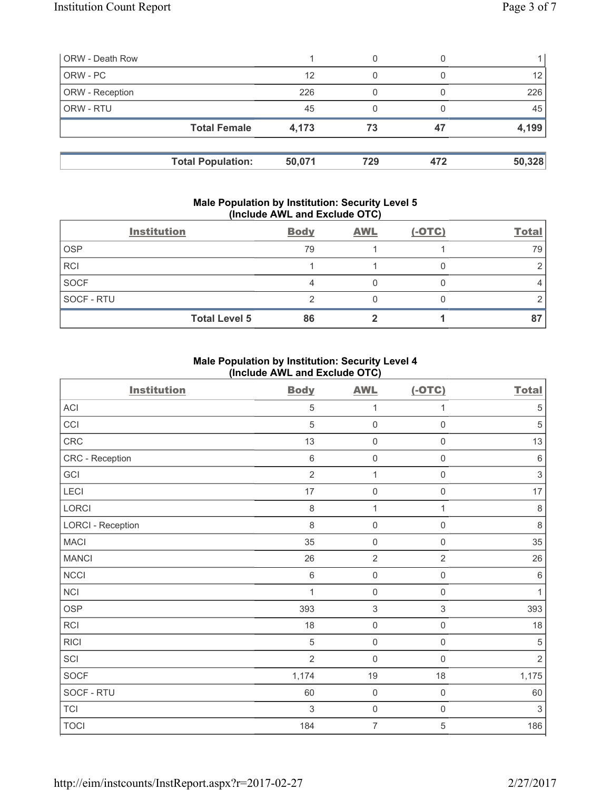| <b>ORW - Death Row</b>   |        |     |     |        |
|--------------------------|--------|-----|-----|--------|
| ORW - PC                 | 12     | 0   |     | 12     |
| ORW - Reception          | 226    |     |     | 226    |
| ORW - RTU                | 45     |     |     | 45     |
| <b>Total Female</b>      | 4,173  | 73  | 47  | 4,199  |
| <b>Total Population:</b> | 50,071 | 729 | 472 | 50,328 |

#### **Male Population by Institution: Security Level 5 (Include AWL and Exclude OTC)**

|             | <b>Institution</b>   | <b>Body</b> | <b>AWL</b> | $(-OTC)$ | <b>Total</b> |
|-------------|----------------------|-------------|------------|----------|--------------|
| <b>OSP</b>  |                      | 79          |            |          | 79           |
| <b>RCI</b>  |                      |             |            |          |              |
| <b>SOCF</b> |                      |             |            |          |              |
| SOCF - RTU  |                      |             |            |          |              |
|             | <b>Total Level 5</b> | 86          |            |          |              |

### **Male Population by Institution: Security Level 4 (Include AWL and Exclude OTC)**

| <b>Institution</b>       | <b>Body</b>    | <b>AWL</b>          | $(-OTC)$            | <b>Total</b> |
|--------------------------|----------------|---------------------|---------------------|--------------|
| ACI                      | $\overline{5}$ | 1                   | 1                   | $\sqrt{5}$   |
| CCI                      | $\sqrt{5}$     | $\mathsf{O}\xspace$ | 0                   | $\sqrt{5}$   |
| CRC                      | 13             | $\mathsf{O}\xspace$ | $\mathsf{O}\xspace$ | 13           |
| CRC - Reception          | $\,6\,$        | $\mathsf{O}\xspace$ | $\mathsf{O}\xspace$ | $\,6\,$      |
| GCI                      | $\overline{2}$ | $\mathbf 1$         | $\mathsf{O}\xspace$ | $\mathsf 3$  |
| <b>LECI</b>              | 17             | $\mathsf{O}\xspace$ | $\mathsf{O}\xspace$ | $17\,$       |
| LORCI                    | 8              | $\mathbf{1}$        | 1                   | $\,8\,$      |
| <b>LORCI - Reception</b> | 8              | $\mathsf{O}\xspace$ | $\mathsf{O}\xspace$ | $\,8\,$      |
| <b>MACI</b>              | 35             | $\mathsf{O}\xspace$ | $\mathsf 0$         | 35           |
| <b>MANCI</b>             | 26             | $\sqrt{2}$          | $\overline{2}$      | 26           |
| <b>NCCI</b>              | $\,6\,$        | $\mathsf{O}\xspace$ | $\mathsf{O}\xspace$ | $\,6\,$      |
| NCI                      | 1              | $\mathsf{O}\xspace$ | $\mathbf 0$         | $\mathbf{1}$ |
| <b>OSP</b>               | 393            | $\sqrt{3}$          | $\,$ 3 $\,$         | 393          |
| <b>RCI</b>               | 18             | $\mathsf{O}\xspace$ | $\mathsf{O}\xspace$ | 18           |
| <b>RICI</b>              | $\sqrt{5}$     | $\mathsf{O}\xspace$ | $\mathsf{O}\xspace$ | $\,$ 5 $\,$  |
| SCI                      | $\overline{2}$ | $\mathsf{O}\xspace$ | $\mathsf{O}\xspace$ | $\sqrt{2}$   |
| <b>SOCF</b>              | 1,174          | 19                  | 18                  | 1,175        |
| SOCF - RTU               | 60             | $\mathsf{O}\xspace$ | $\mathsf{O}\xspace$ | 60           |
| <b>TCI</b>               | $\sqrt{3}$     | $\mathsf{O}\xspace$ | $\mathsf 0$         | $\,$ 3 $\,$  |
| <b>TOCI</b>              | 184            | $\overline{7}$      | 5                   | 186          |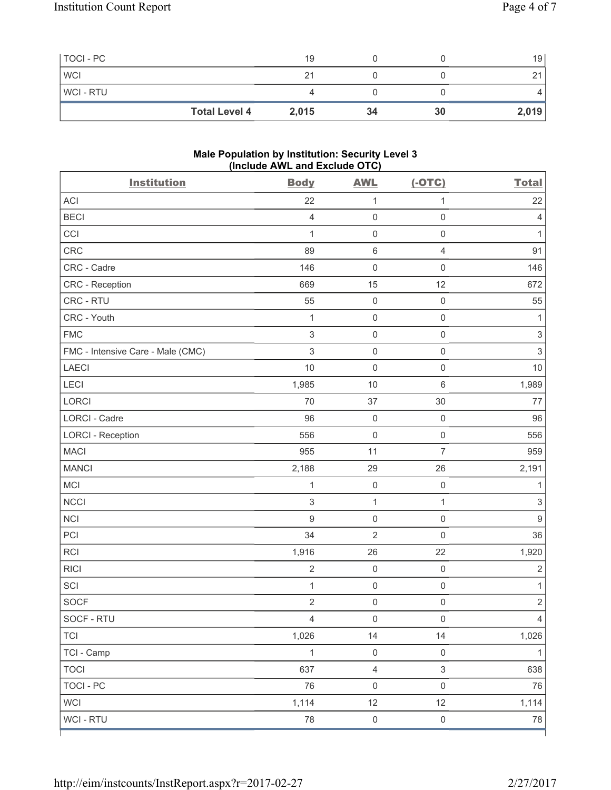| TOCI - PC  |                      | 19    |    |    | 19    |
|------------|----------------------|-------|----|----|-------|
| <b>WCI</b> |                      | 21    |    |    | ິ     |
| WCI - RTU  |                      |       |    |    |       |
|            | <b>Total Level 4</b> | 2,015 | 34 | 30 | 2,019 |

#### **Male Population by Institution: Security Level 3 (Include AWL and Exclude OTC)**

| <b>Institution</b>                | <b>Body</b>    | <b>AWL</b>          | $(-OTC)$            | <b>Total</b>              |
|-----------------------------------|----------------|---------------------|---------------------|---------------------------|
| <b>ACI</b>                        | 22             | 1                   | $\mathbf{1}$        | 22                        |
| <b>BECI</b>                       | 4              | $\mathsf{O}\xspace$ | $\mathsf 0$         | $\overline{4}$            |
| CCI                               | $\mathbf{1}$   | $\mathbf 0$         | $\mathsf 0$         | 1                         |
| CRC                               | 89             | $\,6\,$             | $\overline{4}$      | 91                        |
| CRC - Cadre                       | 146            | $\mathsf{O}\xspace$ | $\mathbf 0$         | 146                       |
| CRC - Reception                   | 669            | 15                  | 12                  | 672                       |
| CRC - RTU                         | 55             | $\mathsf{O}\xspace$ | $\mathsf 0$         | 55                        |
| CRC - Youth                       | $\mathbf{1}$   | $\mathsf{O}\xspace$ | $\mathsf 0$         | 1                         |
| <b>FMC</b>                        | 3              | $\mathsf{O}\xspace$ | $\mathsf 0$         | $\ensuremath{\mathsf{3}}$ |
| FMC - Intensive Care - Male (CMC) | 3              | $\mathsf{O}\xspace$ | $\mathsf 0$         | $\mathsf 3$               |
| <b>LAECI</b>                      | $10$           | $\mathsf{O}\xspace$ | $\mathbf 0$         | 10                        |
| LECI                              | 1,985          | 10                  | $\,6\,$             | 1,989                     |
| LORCI                             | 70             | 37                  | 30                  | 77                        |
| <b>LORCI - Cadre</b>              | 96             | $\mathsf{O}\xspace$ | $\mathsf 0$         | 96                        |
| <b>LORCI - Reception</b>          | 556            | $\mathsf{O}\xspace$ | $\mathsf 0$         | 556                       |
| <b>MACI</b>                       | 955            | 11                  | $\overline{7}$      | 959                       |
| <b>MANCI</b>                      | 2,188          | 29                  | 26                  | 2,191                     |
| MCI                               | $\mathbf{1}$   | $\mathbf 0$         | $\mathsf 0$         | 1                         |
| <b>NCCI</b>                       | 3              | $\mathbf{1}$        | 1                   | $\ensuremath{\mathsf{3}}$ |
| <b>NCI</b>                        | 9              | $\mathsf{O}\xspace$ | $\mathsf 0$         | $\boldsymbol{9}$          |
| PCI                               | 34             | $\overline{2}$      | $\mathbf 0$         | 36                        |
| <b>RCI</b>                        | 1,916          | 26                  | 22                  | 1,920                     |
| <b>RICI</b>                       | $\sqrt{2}$     | $\mathsf{O}\xspace$ | $\mathsf 0$         | $\sqrt{2}$                |
| SCI                               | $\mathbf{1}$   | $\mathsf{O}\xspace$ | $\mathsf 0$         | $\mathbf{1}$              |
| <b>SOCF</b>                       | $\sqrt{2}$     | $\mathsf{O}\xspace$ | $\mathbf 0$         | $\mathbf 2$               |
| SOCF - RTU                        | $\overline{4}$ | $\mathsf 0$         | $\mathsf{O}\xspace$ | $\Delta$                  |
| <b>TCI</b>                        | 1,026          | 14                  | 14                  | 1,026                     |
| TCI - Camp                        | $\mathbf{1}$   | $\mathsf 0$         | $\mathbf 0$         | 1                         |
| <b>TOCI</b>                       | 637            | $\overline{4}$      | $\sqrt{3}$          | 638                       |
| <b>TOCI - PC</b>                  | 76             | $\mathsf 0$         | $\mathsf{O}\xspace$ | 76                        |
| <b>WCI</b>                        | 1,114          | 12                  | 12                  | 1,114                     |
| WCI - RTU                         | ${\bf 78}$     | $\mathsf{O}\xspace$ | $\mathsf 0$         | 78                        |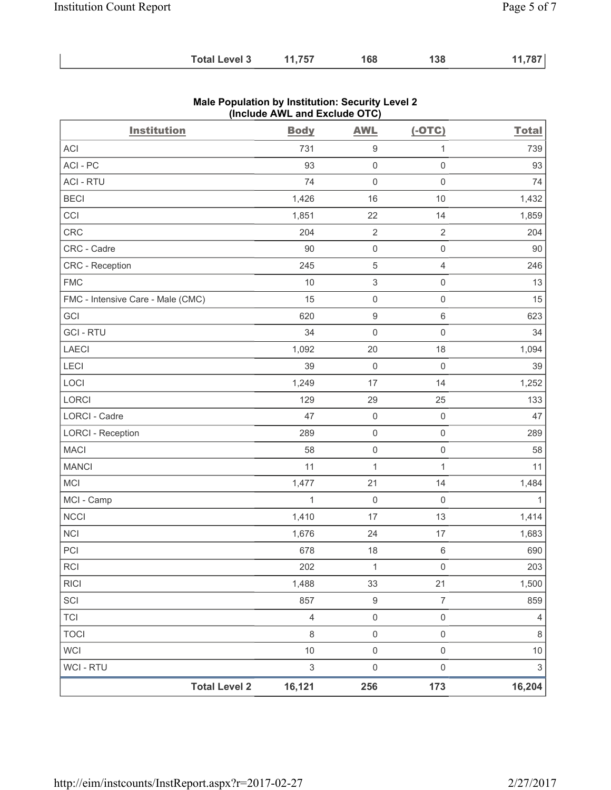| <b>Total Level 3</b> | 11,757 | 168 | 138 | 11,787 |
|----------------------|--------|-----|-----|--------|
|----------------------|--------|-----|-----|--------|

| <b>Institution</b>                | <b>Body</b>    | <b>AWL</b>          | $(-OTC)$            | <b>Total</b>   |
|-----------------------------------|----------------|---------------------|---------------------|----------------|
| <b>ACI</b>                        | 731            | 9                   | $\mathbf{1}$        | 739            |
| ACI-PC                            | 93             | $\mathsf{O}\xspace$ | $\mathsf{O}\xspace$ | 93             |
| <b>ACI - RTU</b>                  | 74             | $\mathsf{O}\xspace$ | $\mathsf{O}\xspace$ | 74             |
| <b>BECI</b>                       | 1,426          | 16                  | 10                  | 1,432          |
| CCI                               | 1,851          | 22                  | 14                  | 1,859          |
| CRC                               | 204            | $\overline{2}$      | $\sqrt{2}$          | 204            |
| CRC - Cadre                       | 90             | $\mathbf 0$         | $\mathsf 0$         | 90             |
| CRC - Reception                   | 245            | 5                   | $\overline{4}$      | 246            |
| <b>FMC</b>                        | 10             | 3                   | $\mathsf{O}\xspace$ | 13             |
| FMC - Intensive Care - Male (CMC) | 15             | $\mathsf{O}\xspace$ | $\mathsf 0$         | 15             |
| GCI                               | 620            | 9                   | $\,6\,$             | 623            |
| <b>GCI-RTU</b>                    | 34             | $\mathbf 0$         | $\mathsf{O}\xspace$ | 34             |
| LAECI                             | 1,092          | 20                  | 18                  | 1,094          |
| LECI                              | 39             | $\mathbf 0$         | $\mathsf{O}\xspace$ | 39             |
| LOCI                              | 1,249          | 17                  | 14                  | 1,252          |
| LORCI                             | 129            | 29                  | 25                  | 133            |
| <b>LORCI - Cadre</b>              | 47             | $\mathsf{O}\xspace$ | $\mathsf 0$         | 47             |
| <b>LORCI - Reception</b>          | 289            | $\mathsf{O}\xspace$ | $\mathsf 0$         | 289            |
| <b>MACI</b>                       | 58             | $\mathsf{O}\xspace$ | $\mathsf{O}\xspace$ | 58             |
| <b>MANCI</b>                      | 11             | $\mathbf{1}$        | $\mathbf{1}$        | 11             |
| <b>MCI</b>                        | 1,477          | 21                  | 14                  | 1,484          |
| MCI - Camp                        | $\mathbf{1}$   | $\mathbf 0$         | $\mathsf{O}\xspace$ | $\mathbf{1}$   |
| <b>NCCI</b>                       | 1,410          | 17                  | 13                  | 1,414          |
| NCI                               | 1,676          | 24                  | $17$                | 1,683          |
| PCI                               | 678            | 18                  | $\,6\,$             | 690            |
| RCI                               | 202            | 1                   | $\mathsf{O}\xspace$ | 203            |
| <b>RICI</b>                       | 1,488          | 33                  | 21                  | 1,500          |
| SCI                               | 857            | $\boldsymbol{9}$    | $\boldsymbol{7}$    | 859            |
| <b>TCI</b>                        | $\overline{4}$ | $\mathsf{O}\xspace$ | $\mathsf{O}\xspace$ | $\overline{4}$ |
| <b>TOCI</b>                       | $\,8\,$        | $\mathsf{O}\xspace$ | $\mathsf 0$         | 8              |
| <b>WCI</b>                        | $10$           | $\mathsf 0$         | $\mathsf{O}\xspace$ | $10$           |
| WCI - RTU                         | 3              | $\mathsf{O}\xspace$ | $\mathsf{O}\xspace$ | $\mathfrak{S}$ |
| <b>Total Level 2</b>              | 16,121         | 256                 | 173                 | 16,204         |

## **Male Population by Institution: Security Level 2 (Include AWL and Exclude OTC)**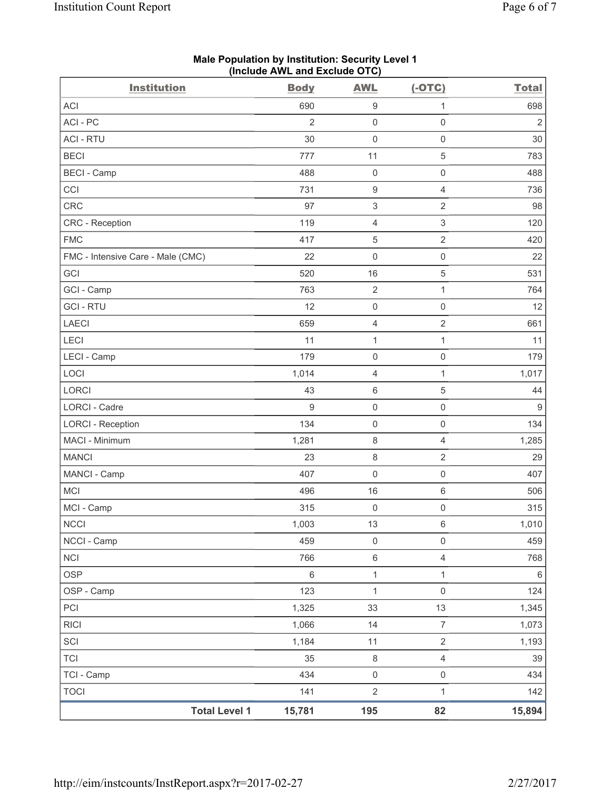| <b>Institution</b>                | <b>Body</b>    | <b>AWL</b>          | $(-OTC)$            | <b>Total</b> |
|-----------------------------------|----------------|---------------------|---------------------|--------------|
| <b>ACI</b>                        | 690            | $\boldsymbol{9}$    | 1                   | 698          |
| ACI - PC                          | $\overline{2}$ | $\mathsf 0$         | $\mathsf{O}\xspace$ | $\sqrt{2}$   |
| <b>ACI - RTU</b>                  | 30             | $\mathsf{O}\xspace$ | $\mathsf{O}\xspace$ | 30           |
| <b>BECI</b>                       | 777            | 11                  | 5                   | 783          |
| <b>BECI - Camp</b>                | 488            | $\mathsf{O}\xspace$ | 0                   | 488          |
| CCI                               | 731            | $\boldsymbol{9}$    | 4                   | 736          |
| CRC                               | 97             | 3                   | $\sqrt{2}$          | 98           |
| CRC - Reception                   | 119            | $\overline{4}$      | $\,$ 3 $\,$         | 120          |
| <b>FMC</b>                        | 417            | $\sqrt{5}$          | $\sqrt{2}$          | 420          |
| FMC - Intensive Care - Male (CMC) | 22             | 0                   | $\mathsf{O}\xspace$ | 22           |
| GCI                               | 520            | 16                  | 5                   | 531          |
| GCI - Camp                        | 763            | $\sqrt{2}$          | $\mathbf{1}$        | 764          |
| <b>GCI - RTU</b>                  | 12             | $\mathsf{O}\xspace$ | $\mathsf{O}\xspace$ | 12           |
| LAECI                             | 659            | $\overline{4}$      | $\overline{2}$      | 661          |
| <b>LECI</b>                       | 11             | 1                   | $\mathbf{1}$        | 11           |
| LECI - Camp                       | 179            | $\mathbf 0$         | $\mathsf 0$         | 179          |
| LOCI                              | 1,014          | $\overline{4}$      | $\mathbf{1}$        | 1,017        |
| LORCI                             | 43             | $\,6\,$             | 5                   | 44           |
| <b>LORCI - Cadre</b>              | $9$            | $\mathsf{O}\xspace$ | $\mathsf{O}\xspace$ | $9\,$        |
| <b>LORCI - Reception</b>          | 134            | $\mathsf{O}\xspace$ | $\mathsf{O}\xspace$ | 134          |
| MACI - Minimum                    | 1,281          | $\,8\,$             | 4                   | 1,285        |
| <b>MANCI</b>                      | 23             | $\,8\,$             | $\sqrt{2}$          | 29           |
| MANCI - Camp                      | 407            | $\mathbf 0$         | $\mathsf{O}\xspace$ | 407          |
| MCI                               | 496            | 16                  | $\,6\,$             | 506          |
| MCI - Camp                        | 315            | $\mathsf{O}\xspace$ | 0                   | 315          |
| <b>NCCI</b>                       | 1,003          | 13                  | 6                   | 1,010        |
| NCCI - Camp                       | 459            | $\mathsf{O}\xspace$ | $\mathsf 0$         | 459          |
| <b>NCI</b>                        | 766            | $\,6\,$             | $\overline{4}$      | 768          |
| <b>OSP</b>                        | $\,6$          | $\mathbf 1$         | $\mathbf{1}$        | $\,6\,$      |
| OSP - Camp                        | 123            | $\mathbf 1$         | $\mathsf{O}\xspace$ | 124          |
| PCI                               | 1,325          | 33                  | 13                  | 1,345        |
| <b>RICI</b>                       | 1,066          | 14                  | $\overline{7}$      | 1,073        |
| SCI                               | 1,184          | 11                  | $\overline{2}$      | 1,193        |
| <b>TCI</b>                        | 35             | $\,8\,$             | $\overline{4}$      | 39           |
| TCI - Camp                        | 434            | $\mathsf{O}\xspace$ | $\mathsf{O}\xspace$ | 434          |
| <b>TOCI</b>                       | 141            | $\overline{2}$      | $\mathbf{1}$        | 142          |
| <b>Total Level 1</b>              | 15,781         | 195                 | 82                  | 15,894       |

**Male Population by Institution: Security Level 1 (Include AWL and Exclude OTC)**